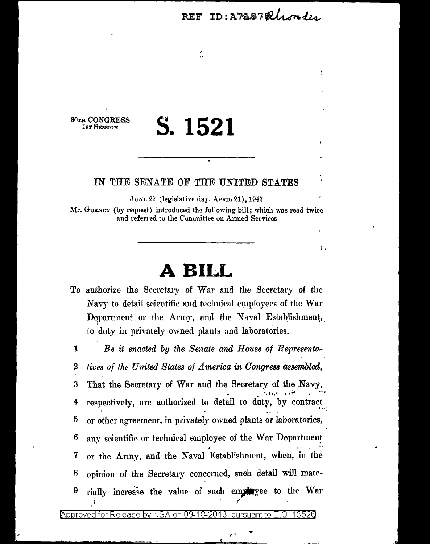REF ID: AMB78 Unales

r.

80TH CONGRESS **1sr SESSION** 

5

# S. 1521

 $\frac{1}{2}$ 

### IN THE SENATE OF THE UNITED STATES

JUNE 27 (legislative day, APRIL 21), 1947

Mr. GURNET (by request) introduced the following bill; which was read twice and referred to the Committee on Armed Services

## BILL

To authorize the Secretary of War and the Secretary of the Navy to detail scientific and technical employees of the War Department or the Army, and the Naval Establishment, to duty in privately owned plants and laboratories.

 $\mathbf{1}$ Be it enacted by the Senate and House of Representatives of the United States of America in Congress assembled,  $\boldsymbol{2}$ That the Secretary of War and the Secretary of the Navy, 3 respectively, are authorized to detail to duty, by contract 4

any scientific or technical employee of the War Department 6 or the Army, and the Naval Establishment, when, in the 7 opinion of the Secretary concerned, such detail will mate-8 rially increase the value of such employee to the War 9

or other agreement, in privately owned plants or laboratories,

on 09-18pproved for Release by NSA، วก13 pursuant to 13526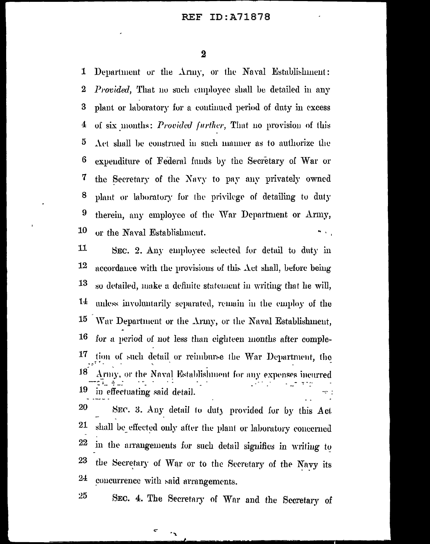#### ID:A71878 REF

 $\overline{\mathbf{2}}$ 

1 Department or the Army, or the Naval Establishment:  $\bf{2}$ *Provided*, That no such employee shall be detailed in any plant or laboratory for a continued period of duty in excess 3 of six months: Provided further, That no provision of this 4  $\mathbf 5$ Act shall be construed in such manner as to authorize the 6 expenditure of Federal funds by the Secretary of War or 7 the Secretary of the Navy to pay any privately owned 8 plant or laboratory for the privilege of detailing to duty 9 therein, any employee of the War Department or Army, 10 or the Naval Establishment.

11 SEC. 2. Any employee selected for detail to duty in 12 accordance with the provisions of this  $\Lambda$ ct shall, before being 13 so detailed, make a definite statement in writing that he will,  $1\pm$ unless involuntarily separated, remain in the employ of the 15 War Department or the Army, or the Naval Establishment, 16 for a period of not less than eighteen months after comple-17 tion of such detail or reimburse the War Department, the 18 Army, or the Naval Establishment for any expenses incurred 19 in effectuating said detail. 20 SEC. 3. Any detail to duty provided for by this Act 21 shall be effected only after the plant or laboratory concerned 22 in the arrangements for such detail signifies in writing to 23 the Secretary of War or to the Secretary of the Navy its  $2<sub>+</sub>$ concurrence with said arrangements.

SEC. 4. The Secretary of War and the Secretary of

۰,

 $25$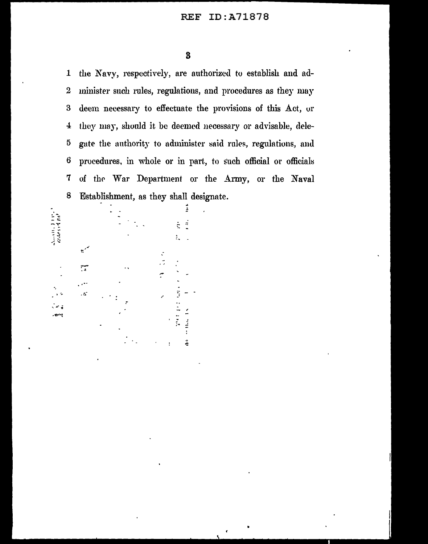the Navy, respectively, are authorized to establish and ad- $\mathbf{1}$  $\boldsymbol{2}$ minister such rules, regulations, and procedures as they may deem necessary to effectuate the provisions of this Act, or  $\bf{3}$ they may, should it be deemed necessary or advisable, dele- $\bf{4}$  $\overline{5}$ gate the authority to administer said rules, regulations, and  $\bf{6}$ procedures, in whole or in part, to such official or officials 7 of the War Department or the Army, or the Naval 8 Establishment, as they shall designate.